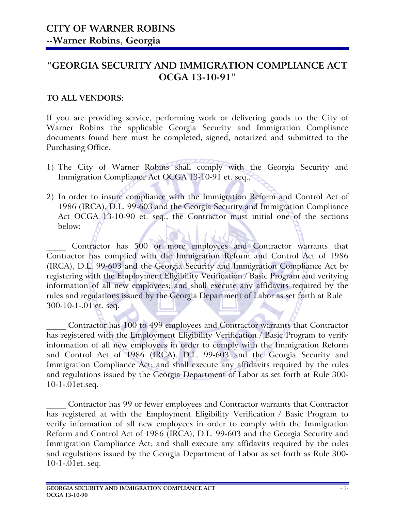### "GEORGIA SECURITY AND IMMIGRATION COMPLIANCE ACT OCGA 13-10-91"

### TO ALL VENDORS:

If you are providing service, performing work or delivering goods to the City of Warner Robins the applicable Georgia Security and Immigration Compliance documents found here must be completed, signed, notarized and submitted to the Purchasing Office.

- 1) The City of Warner Robins shall comply with the Georgia Security and Immigration Compliance Act OCGA 13-10-91 et. seq.,
- 2) In order to insure compliance with the Immigration Reform and Control Act of 1986 (IRCA), D.L. 99-603 and the Georgia Security and Immigration Compliance Act OCGA 13-10-90 et. seq., the Contractor must initial one of the sections below:

Contractor has 500 or more employees and Contractor warrants that Contractor has complied with the Immigration Reform and Control Act of 1986 (IRCA), D.L. 99-603 and the Georgia Security and Immigration Compliance Act by registering with the Employment Eligibility Verification / Basic Program and verifying information of all new employees; and shall execute any affidavits required by the rules and regulations issued by the Georgia Department of Labor as set forth at Rule 300-10-1-.01 et. seq.

\_\_\_\_\_ Contractor has 100 to 499 employees and Contractor warrants that Contractor has registered with the Employment Eligibility Verification / Basic Program to verify information of all new employees in order to comply with the Immigration Reform and Control Act of 1986 (IRCA), D.L. 99-603 and the Georgia Security and Immigration Compliance Act; and shall execute any affidavits required by the rules and regulations issued by the Georgia Department of Labor as set forth at Rule 300- 10-1-.01et.seq.

\_\_\_\_\_ Contractor has 99 or fewer employees and Contractor warrants that Contractor has registered at with the Employment Eligibility Verification / Basic Program to verify information of all new employees in order to comply with the Immigration Reform and Control Act of 1986 (IRCA), D.L. 99-603 and the Georgia Security and Immigration Compliance Act; and shall execute any affidavits required by the rules and regulations issued by the Georgia Department of Labor as set forth as Rule 300- 10-1-.01et. seq.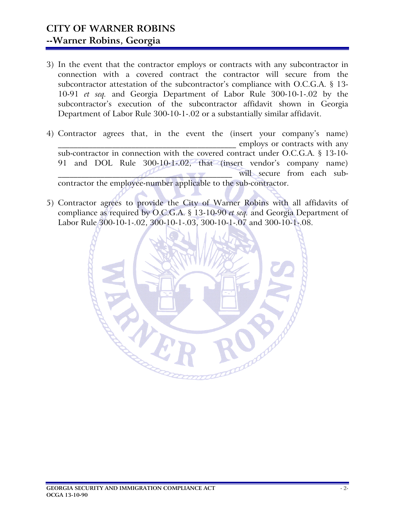# CITY OF WARNER ROBINS --Warner Robins, Georgia

- 3) In the event that the contractor employs or contracts with any subcontractor in connection with a covered contract the contractor will secure from the subcontractor attestation of the subcontractor's compliance with O.C.G.A. § 13- 10-91 et seq. and Georgia Department of Labor Rule 300-10-1-.02 by the subcontractor's execution of the subcontractor affidavit shown in Georgia Department of Labor Rule 300-10-1-.02 or a substantially similar affidavit.
- 4) Contractor agrees that, in the event the (insert your company's name) employs or contracts with any sub-contractor in connection with the covered contract under O.C.G.A. § 13-10- 91 and DOL Rule 300-10-1-.02, that (insert vendor's company name) will secure from each subcontractor the employee-number applicable to the sub-contractor.
- 5) Contractor agrees to provide the City of Warner Robins with all affidavits of compliance as required by O.C.G.A. § 13-10-90 et seq. and Georgia Department of Labor Rule 300-10-1-.02, 300-10-1-.03, 300-10-1-.07 and 300-10-1-.08.